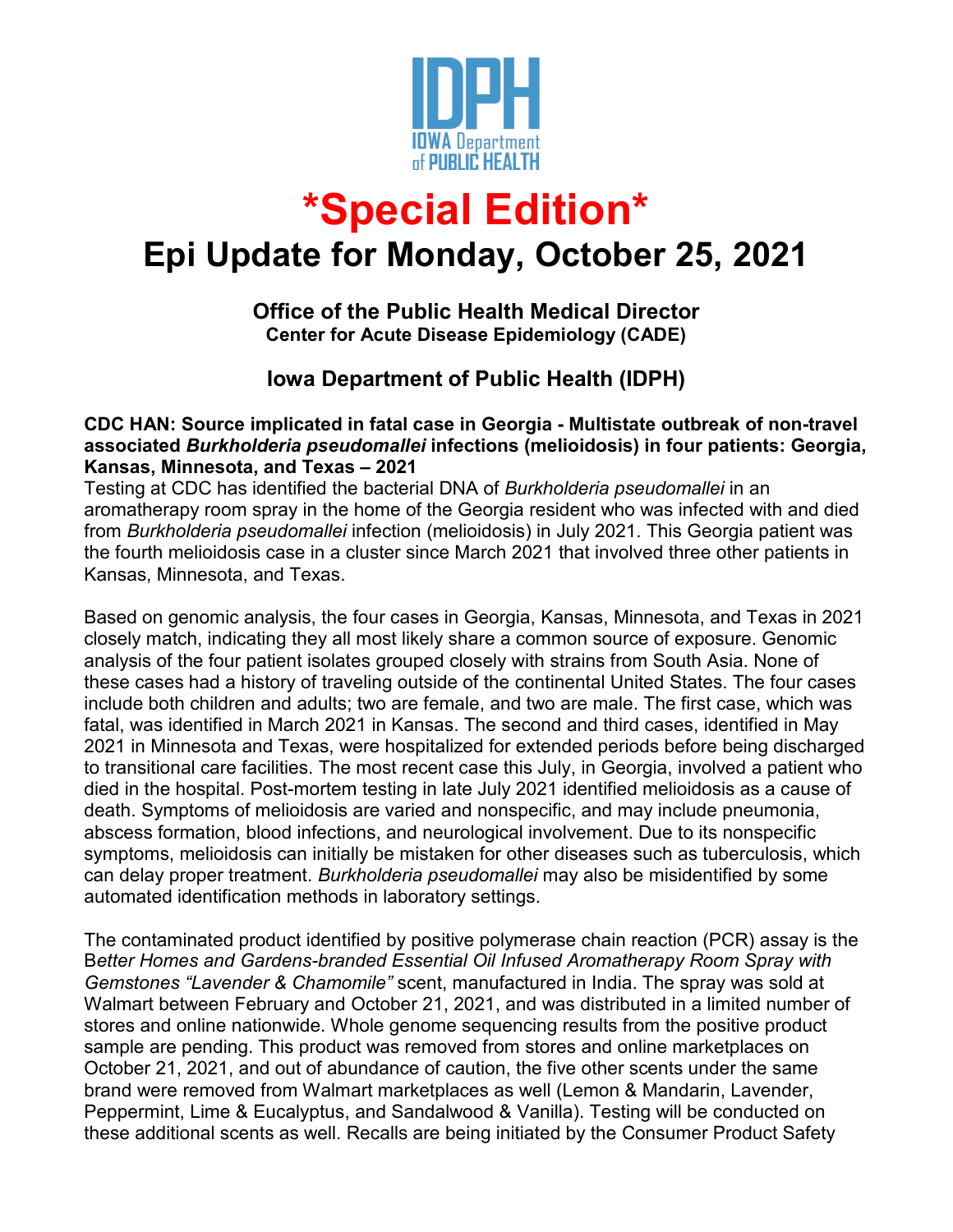

# **\*Special Edition\***

## **Epi Update for Monday, October 25, 2021**

### **Office of the Public Health Medical Director Center for Acute Disease Epidemiology (CADE)**

### **Iowa Department of Public Health (IDPH)**

#### **CDC HAN: Source implicated in fatal case in Georgia - Multistate outbreak of non-travel associated** *Burkholderia pseudomallei* **infections (melioidosis) in four patients: Georgia, Kansas, Minnesota, and Texas – 2021**

Testing at CDC has identified the bacterial DNA of *Burkholderia pseudomallei* in an aromatherapy room spray in the home of the Georgia resident who was infected with and died from *Burkholderia pseudomallei* infection (melioidosis) in July 2021. This Georgia patient was the fourth melioidosis case in a cluster since March 2021 that involved three other patients in Kansas, Minnesota, and Texas.

Based on genomic analysis, the four cases in Georgia, Kansas, Minnesota, and Texas in 2021 closely match, indicating they all most likely share a common source of exposure. Genomic analysis of the four patient isolates grouped closely with strains from South Asia. None of these cases had a history of traveling outside of the continental United States. The four cases include both children and adults; two are female, and two are male. The first case, which was fatal, was identified in March 2021 in Kansas. The second and third cases, identified in May 2021 in Minnesota and Texas, were hospitalized for extended periods before being discharged to transitional care facilities. The most recent case this July, in Georgia, involved a patient who died in the hospital. Post-mortem testing in late July 2021 identified melioidosis as a cause of death. Symptoms of melioidosis are varied and nonspecific, and may include pneumonia, abscess formation, blood infections, and neurological involvement. Due to its nonspecific symptoms, melioidosis can initially be mistaken for other diseases such as tuberculosis, which can delay proper treatment. *Burkholderia pseudomallei* may also be misidentified by some automated identification methods in laboratory settings.

The contaminated product identified by positive polymerase chain reaction (PCR) assay is the B*etter Homes and Gardens-branded Essential Oil Infused Aromatherapy Room Spray with Gemstones "Lavender & Chamomile"* scent, manufactured in India. The spray was sold at Walmart between February and October 21, 2021, and was distributed in a limited number of stores and online nationwide. Whole genome sequencing results from the positive product sample are pending. This product was removed from stores and online marketplaces on October 21, 2021, and out of abundance of caution, the five other scents under the same brand were removed from Walmart marketplaces as well (Lemon & Mandarin, Lavender, Peppermint, Lime & Eucalyptus, and Sandalwood & Vanilla). Testing will be conducted on these additional scents as well. Recalls are being initiated by the Consumer Product Safety